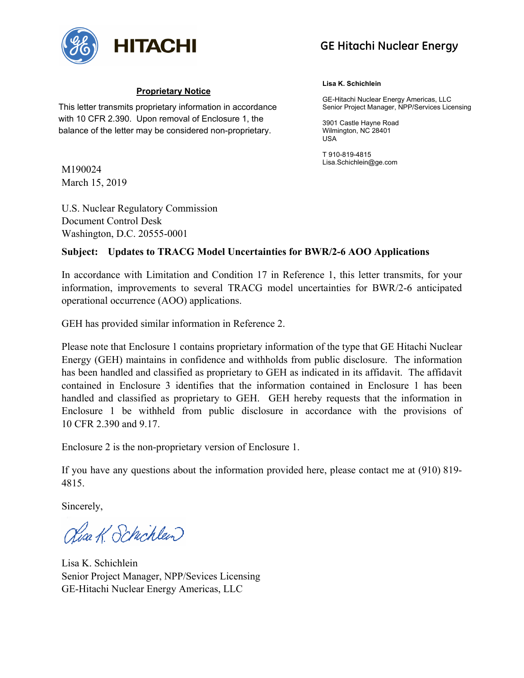

# **GE Hitachi Nuclear Energy**

# **Proprietary Notice**

This letter transmits proprietary information in accordance with 10 CFR 2.390. Upon removal of Enclosure 1, the balance of the letter may be considered non-proprietary.

M190024 March 15, 2019

U.S. Nuclear Regulatory Commission Document Control Desk Washington, D.C. 20555-0001

#### **Lisa K. Schichlein**

GE-Hitachi Nuclear Energy Americas, LLC Senior Project Manager, NPP/Services Licensing

3901 Castle Hayne Road Wilmington, NC 28401 USA

T 910-819-4815 Lisa.Schichlein@ge.com

# **Subject: Updates to TRACG Model Uncertainties for BWR/2-6 AOO Applications**

In accordance with Limitation and Condition 17 in Reference 1, this letter transmits, for your information, improvements to several TRACG model uncertainties for BWR/2-6 anticipated operational occurrence (AOO) applications.

GEH has provided similar information in Reference 2.

Please note that Enclosure 1 contains proprietary information of the type that GE Hitachi Nuclear Energy (GEH) maintains in confidence and withholds from public disclosure. The information has been handled and classified as proprietary to GEH as indicated in its affidavit. The affidavit contained in Enclosure 3 identifies that the information contained in Enclosure 1 has been handled and classified as proprietary to GEH. GEH hereby requests that the information in Enclosure 1 be withheld from public disclosure in accordance with the provisions of 10 CFR 2.390 and 9.17.

Enclosure 2 is the non-proprietary version of Enclosure 1.

If you have any questions about the information provided here, please contact me at (910) 819- 4815.

Sincerely,

Risa K. Schicklein

Lisa K. Schichlein Senior Project Manager, NPP/Sevices Licensing GE-Hitachi Nuclear Energy Americas, LLC